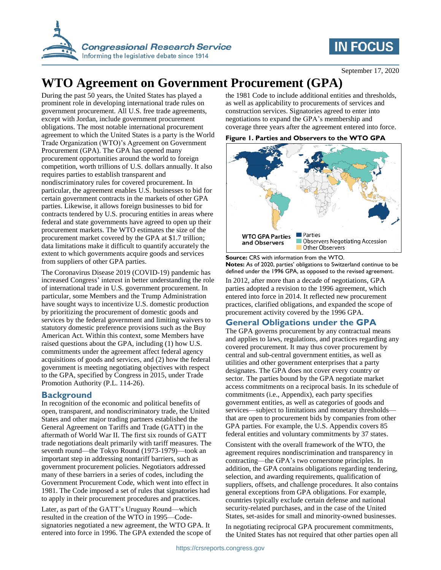

# **IN FOCUS**

September 17, 2020

# **WTO Agreement on Government Procurement (GPA)**

During the past 50 years, the United States has played a prominent role in developing international trade rules on government procurement. All U.S. free trade agreements, except with Jordan, include government procurement obligations. The most notable international procurement agreement to which the United States is a party is the World Trade Organization (WTO)'s Agreement on Government Procurement (GPA). The GPA has opened many procurement opportunities around the world to foreign competition, worth trillions of U.S. dollars annually. It also requires parties to establish transparent and nondiscriminatory rules for covered procurement. In particular, the agreement enables U.S. businesses to bid for certain government contracts in the markets of other GPA parties. Likewise, it allows foreign businesses to bid for contracts tendered by U.S. procuring entities in areas where federal and state governments have agreed to open up their procurement markets. The WTO estimates the size of the procurement market covered by the GPA at \$1.7 trillion; data limitations make it difficult to quantify accurately the extent to which governments acquire goods and services from suppliers of other GPA parties.

The Coronavirus Disease 2019 (COVID-19) pandemic has increased Congress' interest in better understanding the role of international trade in U.S. government procurement. In particular, some Members and the Trump Administration have sought ways to incentivize U.S. domestic production by prioritizing the procurement of domestic goods and services by the federal government and limiting waivers to statutory domestic preference provisions such as the Buy American Act. Within this context, some Members have raised questions about the GPA, including (1) how U.S. commitments under the agreement affect federal agency acquisitions of goods and services, and (2) how the federal government is meeting negotiating objectives with respect to the GPA, specified by Congress in 2015, under Trade Promotion Authority (P.L. 114-26).

### **Background**

In recognition of the economic and political benefits of open, transparent, and nondiscriminatory trade, the United States and other major trading partners established the General Agreement on Tariffs and Trade (GATT) in the aftermath of World War II. The first six rounds of GATT trade negotiations dealt primarily with tariff measures. The seventh round—the Tokyo Round (1973-1979)—took an important step in addressing nontariff barriers, such as government procurement policies. Negotiators addressed many of these barriers in a series of codes, including the Government Procurement Code, which went into effect in 1981. The Code imposed a set of rules that signatories had to apply in their procurement procedures and practices.

Later, as part of the GATT's Uruguay Round—which resulted in the creation of the WTO in 1995—Codesignatories negotiated a new agreement, the WTO GPA. It entered into force in 1996. The GPA extended the scope of the 1981 Code to include additional entities and thresholds, as well as applicability to procurements of services and construction services. Signatories agreed to enter into negotiations to expand the GPA's membership and coverage three years after the agreement entered into force.





**Source:** CRS with information from the WTO. **Notes:** As of 2020, parties' obligations to Switzerland continue to be defined under the 1996 GPA, as opposed to the revised agreement.

In 2012, after more than a decade of negotiations, GPA parties adopted a revision to the 1996 agreement, which entered into force in 2014. It reflected new procurement practices, clarified obligations, and expanded the scope of procurement activity covered by the 1996 GPA.

### **General Obligations under the GPA**

The GPA governs procurement by any contractual means and applies to laws, regulations, and practices regarding any covered procurement. It may thus cover procurement by central and sub-central government entities, as well as utilities and other government enterprises that a party designates. The GPA does not cover every country or sector. The parties bound by the GPA negotiate market access commitments on a reciprocal basis. In its schedule of commitments (i.e., Appendix), each party specifies government entities, as well as categories of goods and services—subject to limitations and monetary thresholds that are open to procurement bids by companies from other GPA parties. For example, the U.S. Appendix covers 85 federal entities and voluntary commitments by 37 states.

Consistent with the overall framework of the WTO, the agreement requires nondiscrimination and transparency in contracting—the GPA's two cornerstone principles. In addition, the GPA contains obligations regarding tendering, selection, and awarding requirements, qualification of suppliers, offsets, and challenge procedures. It also contains general exceptions from GPA obligations. For example, countries typically exclude certain defense and national security-related purchases, and in the case of the United States, set-asides for small and minority-owned businesses.

In negotiating reciprocal GPA procurement commitments, the United States has not required that other parties open all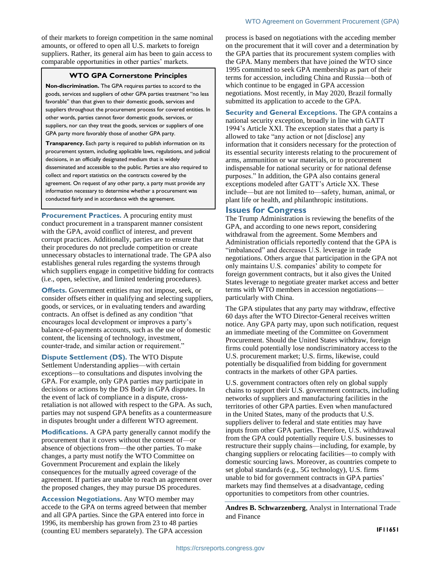of their markets to foreign competition in the same nominal amounts, or offered to open all U.S. markets to foreign suppliers. Rather, its general aim has been to gain access to comparable opportunities in other parties' markets.

#### **WTO GPA Cornerstone Principles**

**Non-discrimination.** The GPA requires parties to accord to the goods, services and suppliers of other GPA parties treatment "no less favorable" than that given to their domestic goods, services and suppliers throughout the procurement process for covered entities. In other words, parties cannot favor domestic goods, services, or suppliers, nor can they treat the goods, services or suppliers of one GPA party more favorably those of another GPA party.

**Transparency.** Each party is required to publish information on its procurement system, including applicable laws, regulations, and judicial decisions, in an officially designated medium that is widely disseminated and accessible to the public. Parties are also required to collect and report statistics on the contracts covered by the agreement. On request of any other party, a party must provide any information necessary to determine whether a procurement was conducted fairly and in accordance with the agreement.

**Procurement Practices.** A procuring entity must conduct procurement in a transparent manner consistent with the GPA, avoid conflict of interest, and prevent corrupt practices. Additionally, parties are to ensure that their procedures do not preclude competition or create unnecessary obstacles to international trade. The GPA also establishes general rules regarding the systems through which suppliers engage in competitive bidding for contracts (i.e., open, selective, and limited tendering procedures).

**Offsets.** Government entities may not impose, seek, or consider offsets either in qualifying and selecting suppliers, goods, or services, or in evaluating tenders and awarding contracts. An offset is defined as any condition "that encourages local development or improves a party's balance-of-payments accounts, such as the use of domestic content, the licensing of technology, investment, counter-trade, and similar action or requirement."

**Dispute Settlement (DS).** The WTO Dispute Settlement Understanding applies—with certain exceptions—to consultations and disputes involving the GPA. For example, only GPA parties may participate in decisions or actions by the DS Body in GPA disputes. In the event of lack of compliance in a dispute, crossretaliation is not allowed with respect to the GPA. As such, parties may not suspend GPA benefits as a countermeasure in disputes brought under a different WTO agreement.

**Modifications.** A GPA party generally cannot modify the procurement that it covers without the consent of—or absence of objections from—the other parties. To make changes, a party must notify the WTO Committee on Government Procurement and explain the likely consequences for the mutually agreed coverage of the agreement. If parties are unable to reach an agreement over the proposed changes, they may pursue DS procedures.

**Accession Negotiations.** Any WTO member may accede to the GPA on terms agreed between that member and all GPA parties. Since the GPA entered into force in 1996, its membership has grown from 23 to 48 parties (counting EU members separately). The GPA accession

process is based on negotiations with the acceding member on the procurement that it will cover and a determination by the GPA parties that its procurement system complies with the GPA. Many members that have joined the WTO since 1995 committed to seek GPA membership as part of their terms for accession, including China and Russia—both of which continue to be engaged in GPA accession negotiations. Most recently, in May 2020, Brazil formally submitted its application to accede to the GPA.

**Security and General Exceptions.** The GPA contains a national security exception, broadly in line with GATT 1994's Article XXI. The exception states that a party is allowed to take "any action or not [disclose] any information that it considers necessary for the protection of its essential security interests relating to the procurement of arms, ammunition or war materials, or to procurement indispensable for national security or for national defense purposes." In addition, the GPA also contains general exceptions modeled after GATT's Article XX. These include—but are not limited to—safety, human, animal, or plant life or health, and philanthropic institutions.

#### **Issues for Congress**

The Trump Administration is reviewing the benefits of the GPA, and according to one news report, considering withdrawal from the agreement. Some Members and Administration officials reportedly contend that the GPA is "imbalanced" and decreases U.S. leverage in trade negotiations. Others argue that participation in the GPA not only maintains U.S. companies' ability to compete for foreign government contracts, but it also gives the United States leverage to negotiate greater market access and better terms with WTO members in accession negotiations particularly with China.

The GPA stipulates that any party may withdraw, effective 60 days after the WTO Director-General receives written notice. Any GPA party may, upon such notification, request an immediate meeting of the Committee on Government Procurement. Should the United States withdraw, foreign firms could potentially lose nondiscriminatory access to the U.S. procurement market; U.S. firms, likewise, could potentially be disqualified from bidding for government contracts in the markets of other GPA parties.

U.S. government contractors often rely on global supply chains to support their U.S. government contracts, including networks of suppliers and manufacturing facilities in the territories of other GPA parties. Even when manufactured in the United States, many of the products that U.S. suppliers deliver to federal and state entities may have inputs from other GPA parties. Therefore, U.S. withdrawal from the GPA could potentially require U.S. businesses to restructure their supply chains—including, for example, by changing suppliers or relocating facilities—to comply with domestic sourcing laws. Moreover, as countries compete to set global standards (e.g., 5G technology), U.S. firms unable to bid for government contracts in GPA parties' markets may find themselves at a disadvantage, ceding opportunities to competitors from other countries.

**Andres B. Schwarzenberg**, Analyst in International Trade and Finance